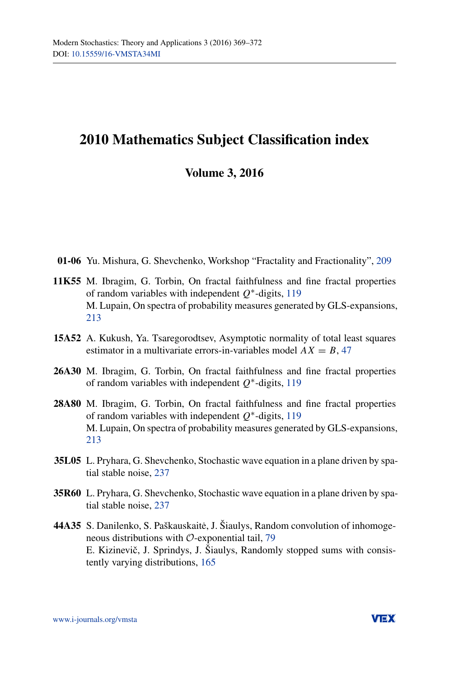## **2010 Mathematics Subject Classification index**

## **Volume 3, 2016**

- **01-06** Yu. Mishura, G. Shevchenko, Workshop "Fractality and Fractionality", [209](http://dx.doi.org/10.15559/16-VMSTA65)
- **11K55** M. Ibragim, G. Torbin, On fractal faithfulness and fine fractal properties of random variables with independent *Q*∗-digits, [119](http://dx.doi.org/10.15559/16-VMSTA55) M. Lupain, On spectra of probability measures generated by GLS-expansions, [213](http://dx.doi.org/10.15559/16-VMSTA61)
- **15A52** A. Kukush, Ya. Tsaregorodtsev, Asymptotic normality of total least squares estimator in a multivariate errors-in-variables model  $AX = B$ , [47](http://dx.doi.org/10.15559/16-VMSTA50)
- **26A30** M. Ibragim, G. Torbin, On fractal faithfulness and fine fractal properties of random variables with independent *Q*∗-digits, [119](http://dx.doi.org/10.15559/16-VMSTA55)
- **28A80** M. Ibragim, G. Torbin, On fractal faithfulness and fine fractal properties of random variables with independent *Q*∗-digits, [119](http://dx.doi.org/10.15559/16-VMSTA55) M. Lupain, On spectra of probability measures generated by GLS-expansions, [213](http://dx.doi.org/10.15559/16-VMSTA61)
- **35L05** L. Pryhara, G. Shevchenko, Stochastic wave equation in a plane driven by spatial stable noise, [237](http://dx.doi.org/10.15559/16-VMSTA62)
- **35R60** L. Pryhara, G. Shevchenko, Stochastic wave equation in a plane driven by spatial stable noise, [237](http://dx.doi.org/10.15559/16-VMSTA62)
- **44A35** S. Danilenko, S. Paškauskaite, J. Šiaulys, Random convolution of inhomoge- ˙ neous distributions with O-exponential tail, [79](http://dx.doi.org/10.15559/16-VMSTA52) E. Kizinevič, J. Sprindys, J. Šiaulys, Randomly stopped sums with consistently varying distributions, [165](http://dx.doi.org/10.15559/16-VMSTA60)

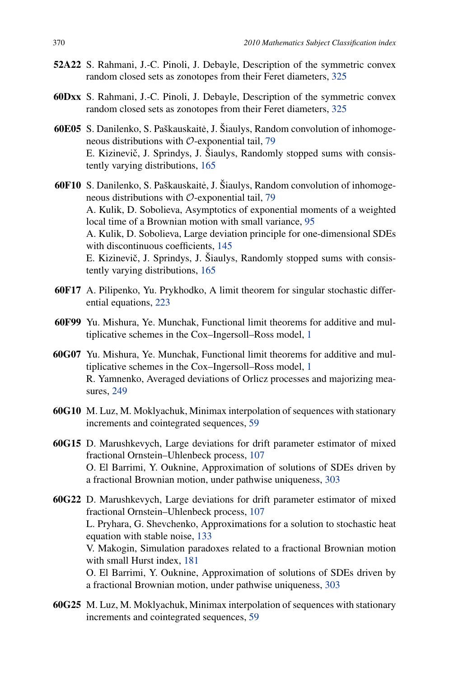- **52A22** S. Rahmani, J.-C. Pinoli, J. Debayle, Description of the symmetric convex random closed sets as zonotopes from their Feret diameters, [325](http://dx.doi.org/10.15559/16-VMSTA70)
- **60Dxx** S. Rahmani, J.-C. Pinoli, J. Debayle, Description of the symmetric convex random closed sets as zonotopes from their Feret diameters, [325](http://dx.doi.org/10.15559/16-VMSTA70)
- **60E05** S. Danilenko, S. Paškauskaite, J. Šiaulys, Random convolution of inhomoge- ˙ neous distributions with  $\mathcal{O}$ -exponential tail, [79](http://dx.doi.org/10.15559/16-VMSTA52) E. Kizinevič, J. Sprindys, J. Šiaulys, Randomly stopped sums with consistently varying distributions, [165](http://dx.doi.org/10.15559/16-VMSTA60)
- **60F10** S. Danilenko, S. Paškauskaite, J. Šiaulys, Random convolution of inhomoge- ˙ neous distributions with O-exponential tail, [79](http://dx.doi.org/10.15559/16-VMSTA52) A. Kulik, D. Sobolieva, Asymptotics of exponential moments of a weighted local time of a Brownian motion with small variance, [95](http://dx.doi.org/10.15559/16-VMSTA49) A. Kulik, D. Sobolieva, Large deviation principle for one-dimensional SDEs with discontinuous coefficients, [145](http://dx.doi.org/10.15559/16-VMSTA57) E. Kizinevič, J. Sprindys, J. Šiaulys, Randomly stopped sums with consistently varying distributions, [165](http://dx.doi.org/10.15559/16-VMSTA60)
- **60F17** A. Pilipenko, Yu. Prykhodko, A limit theorem for singular stochastic differential equations, [223](http://dx.doi.org/10.15559/16-VMSTA63)
- **60F99** Yu. Mishura, Ye. Munchak, Functional limit theorems for additive and multiplicative schemes in the Cox–Ingersoll–Ross model, [1](http://dx.doi.org/10.15559/16-VMSTA48)
- **60G07** Yu. Mishura, Ye. Munchak, Functional limit theorems for additive and multiplicative schemes in the Cox–Ingersoll–Ross model, [1](http://dx.doi.org/10.15559/16-VMSTA48) R. Yamnenko, Averaged deviations of Orlicz processes and majorizing measures, [249](http://dx.doi.org/10.15559/16-VMSTA64)
- **60G10** M. Luz, M. Moklyachuk, Minimax interpolation of sequences with stationary increments and cointegrated sequences, [59](http://dx.doi.org/10.15559/16-VMSTA51)
- **60G15** D. Marushkevych, Large deviations for drift parameter estimator of mixed fractional Ornstein–Uhlenbeck process, [107](http://dx.doi.org/10.15559/16-VMSTA54) O. El Barrimi, Y. Ouknine, Approximation of solutions of SDEs driven by a fractional Brownian motion, under pathwise uniqueness, [303](http://dx.doi.org/10.15559/16-VMSTA69)

**60G22** D. Marushkevych, Large deviations for drift parameter estimator of mixed fractional Ornstein–Uhlenbeck process, [107](http://dx.doi.org/10.15559/16-VMSTA54) L. Pryhara, G. Shevchenko, Approximations for a solution to stochastic heat equation with stable noise, [133](http://dx.doi.org/10.15559/16-VMSTA56) V. Makogin, Simulation paradoxes related to a fractional Brownian motion with small Hurst index, [181](http://dx.doi.org/10.15559/16-VMSTA59) O. El Barrimi, Y. Ouknine, Approximation of solutions of SDEs driven by a fractional Brownian motion, under pathwise uniqueness, [303](http://dx.doi.org/10.15559/16-VMSTA69)

**60G25** M. Luz, M. Moklyachuk, Minimax interpolation of sequences with stationary increments and cointegrated sequences, [59](http://dx.doi.org/10.15559/16-VMSTA51)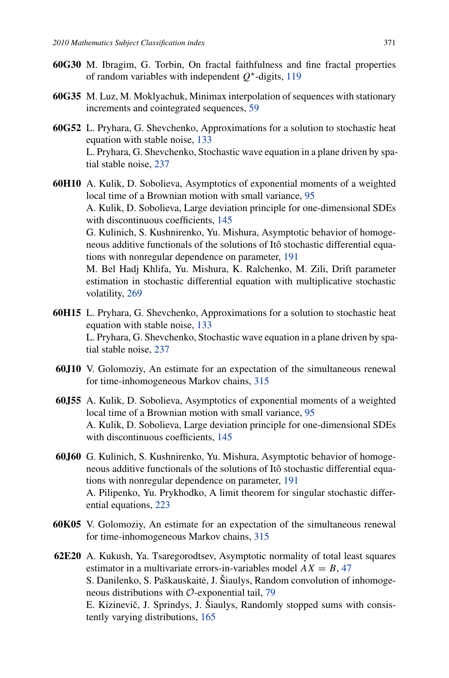- **60G30** M. Ibragim, G. Torbin, On fractal faithfulness and fine fractal properties of random variables with independent *Q*∗-digits, [119](http://dx.doi.org/10.15559/16-VMSTA55)
- **60G35** M. Luz, M. Moklyachuk, Minimax interpolation of sequences with stationary increments and cointegrated sequences, [59](http://dx.doi.org/10.15559/16-VMSTA51)
- **60G52** L. Pryhara, G. Shevchenko, Approximations for a solution to stochastic heat equation with stable noise, [133](http://dx.doi.org/10.15559/16-VMSTA56) L. Pryhara, G. Shevchenko, Stochastic wave equation in a plane driven by spatial stable noise, [237](http://dx.doi.org/10.15559/16-VMSTA62)
- **60H10** A. Kulik, D. Sobolieva, Asymptotics of exponential moments of a weighted local time of a Brownian motion with small variance, [95](http://dx.doi.org/10.15559/16-VMSTA49) A. Kulik, D. Sobolieva, Large deviation principle for one-dimensional SDEs with discontinuous coefficients, [145](http://dx.doi.org/10.15559/16-VMSTA57) G. Kulinich, S. Kushnirenko, Yu. Mishura, Asymptotic behavior of homogeneous additive functionals of the solutions of Itô stochastic differential equations with nonregular dependence on parameter, [191](http://dx.doi.org/10.15559/16-VMSTA58) M. Bel Hadj Khlifa, Yu. Mishura, K. Ralchenko, M. Zili, Drift parameter estimation in stochastic differential equation with multiplicative stochastic volatility, [269](http://dx.doi.org/10.15559/16-VMSTA66)
- **60H15** L. Pryhara, G. Shevchenko, Approximations for a solution to stochastic heat equation with stable noise, [133](http://dx.doi.org/10.15559/16-VMSTA56) L. Pryhara, G. Shevchenko, Stochastic wave equation in a plane driven by spatial stable noise, [237](http://dx.doi.org/10.15559/16-VMSTA62)
- **60J10** V. Golomoziy, An estimate for an expectation of the simultaneous renewal for time-inhomogeneous Markov chains, [315](http://dx.doi.org/10.15559/16-VMSTA68)
- **60J55** A. Kulik, D. Sobolieva, Asymptotics of exponential moments of a weighted local time of a Brownian motion with small variance, [95](http://dx.doi.org/10.15559/16-VMSTA49) A. Kulik, D. Sobolieva, Large deviation principle for one-dimensional SDEs with discontinuous coefficients, [145](http://dx.doi.org/10.15559/16-VMSTA57)
- **60J60** G. Kulinich, S. Kushnirenko, Yu. Mishura, Asymptotic behavior of homogeneous additive functionals of the solutions of Itô stochastic differential equations with nonregular dependence on parameter, [191](http://dx.doi.org/10.15559/16-VMSTA58) A. Pilipenko, Yu. Prykhodko, A limit theorem for singular stochastic differential equations, [223](http://dx.doi.org/10.15559/16-VMSTA63)
- **60K05** V. Golomoziy, An estimate for an expectation of the simultaneous renewal for time-inhomogeneous Markov chains, [315](http://dx.doi.org/10.15559/16-VMSTA68)
- **62E20** A. Kukush, Ya. Tsaregorodtsev, Asymptotic normality of total least squares estimator in a multivariate errors-in-variables model  $AX = B$ , [47](http://dx.doi.org/10.15559/16-VMSTA50) S. Danilenko, S. Paškauskaitė, J. Šiaulys, Random convolution of inhomogeneous distributions with O-exponential tail, [79](http://dx.doi.org/10.15559/16-VMSTA52) E. Kizinevič, J. Sprindys, J. Šiaulys, Randomly stopped sums with consistently varying distributions, [165](http://dx.doi.org/10.15559/16-VMSTA60)